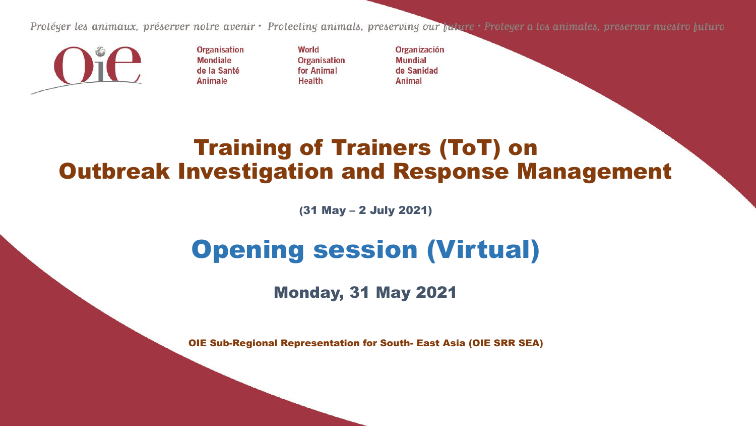Protéger les animaux, préserver notre avenir • Protecting animals, preserving our maure • Proteger a los animales, preservar nuestro huturo



**Organisation Mondiale** de la Santé Animale

World **Organisation** for Animal **Health** 

Organización **Mundial** de Sanidad Animal

#### Training of Trainers (ToT) on Outbreak Investigation and Response Management

(31 May – 2 July 2021)

### Opening session (Virtual)

Monday, 31 May 2021

OIE Sub-Regional Representation for South- East Asia (OIE SRR SEA)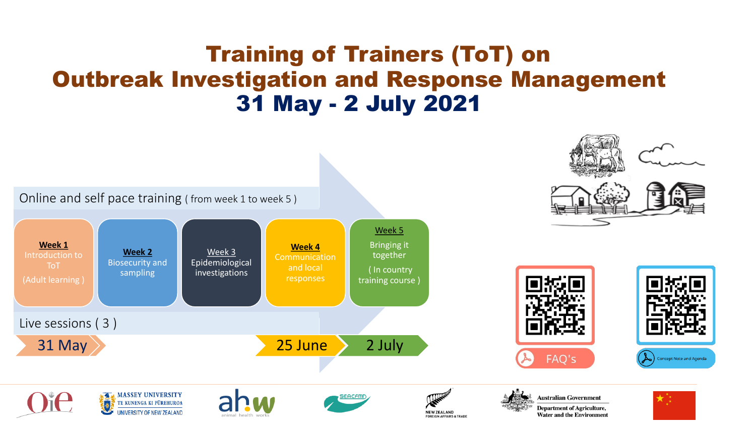#### Training of Trainers (ToT) on Outbreak Investigation and Response Management 31 May - 2 July 2021

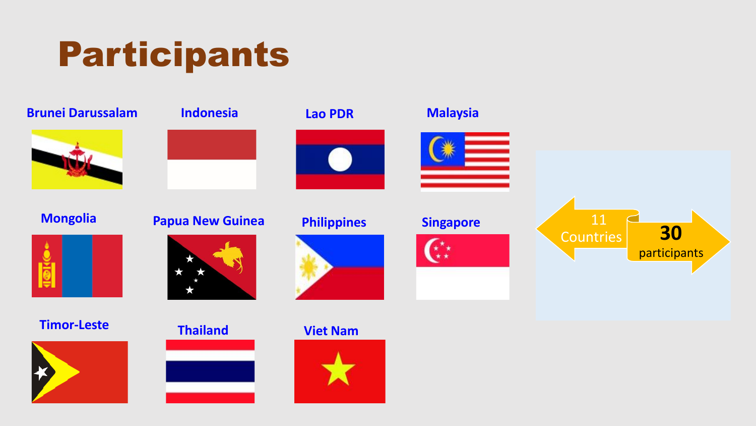





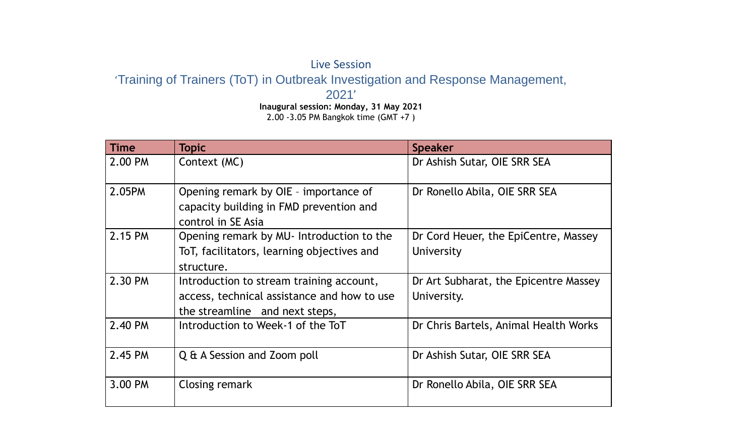#### Live Session 'Training of Trainers (ToT) in Outbreak Investigation and Response Management, 2021' **Inaugural session: Monday, 31 May 2021**

2.00 -3.05 PM Bangkok time (GMT +7 )

| <b>Time</b> | <b>Topic</b>                                                                                                              | <b>Speaker</b>                                       |
|-------------|---------------------------------------------------------------------------------------------------------------------------|------------------------------------------------------|
| 2.00 PM     | Context (MC)                                                                                                              | Dr Ashish Sutar, OIE SRR SEA                         |
| 2.05PM      | Opening remark by OIE - importance of<br>capacity building in FMD prevention and<br>control in SE Asia                    | Dr Ronello Abila, OIE SRR SEA                        |
| 2.15 PM     | Opening remark by MU- Introduction to the<br>ToT, facilitators, learning objectives and<br>structure.                     | Dr Cord Heuer, the EpiCentre, Massey<br>University   |
| 2.30 PM     | Introduction to stream training account,<br>access, technical assistance and how to use<br>the streamline and next steps, | Dr Art Subharat, the Epicentre Massey<br>University. |
| 2.40 PM     | Introduction to Week-1 of the ToT                                                                                         | Dr Chris Bartels, Animal Health Works                |
| 2.45 PM     | Q & A Session and Zoom poll                                                                                               | Dr Ashish Sutar, OIE SRR SEA                         |
| 3.00 PM     | Closing remark                                                                                                            | Dr Ronello Abila, OIE SRR SEA                        |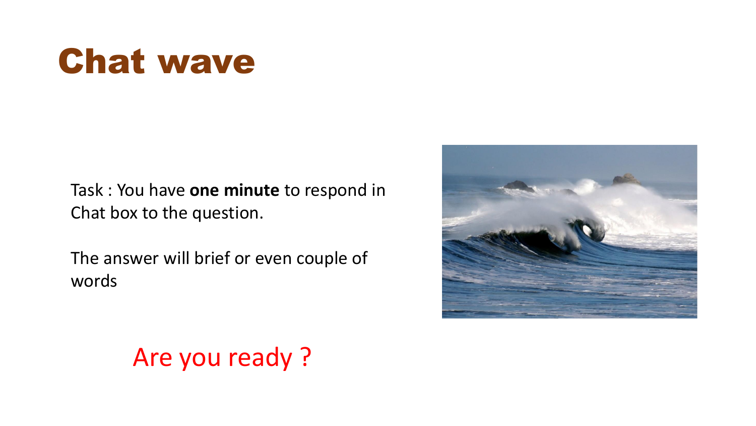### Chat wave

Task : You have **one minute** to respond in Chat box to the question.

The answer will brief or even couple of words



#### Are you ready ?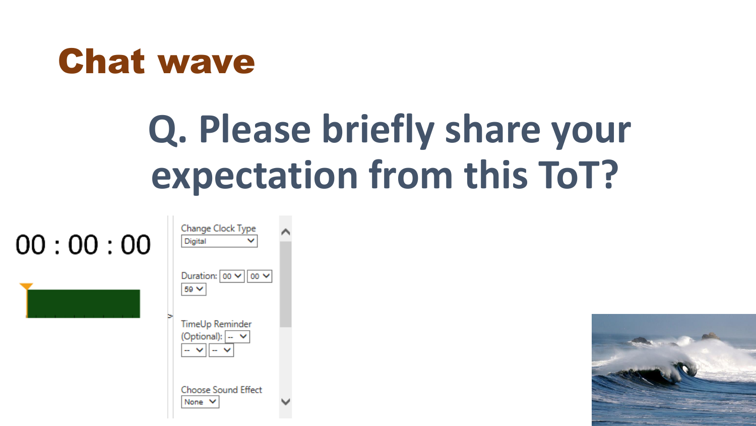

## **Q. Please briefly share your expectation from this ToT?**

| 00:00:00 | Change Clock Type<br>Digital                                                        |
|----------|-------------------------------------------------------------------------------------|
|          | Duration: $ 00 \vee   00 \vee$<br>59 ₩                                              |
|          | <b>TimeUp Reminder</b><br>(Optional): $\vert - \vert \vee \vert$<br>$ \vee$ $ \vee$ |
|          | <b>Choose Sound Effect</b><br>None $\vee$                                           |

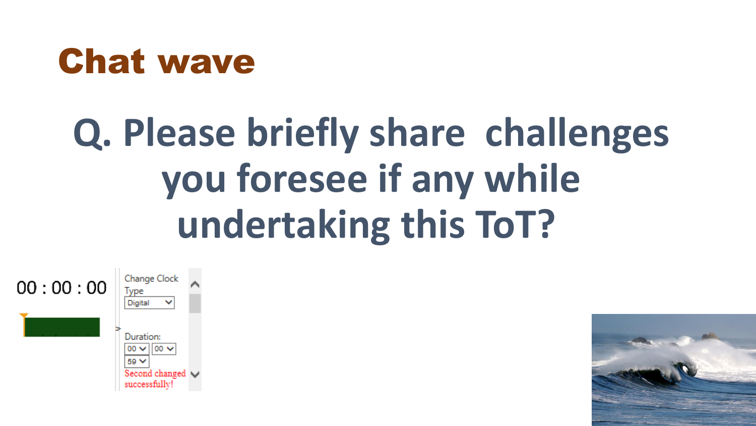### Chat wave

# **Q. Please briefly share challenges you foresee if any while undertaking this ToT?**